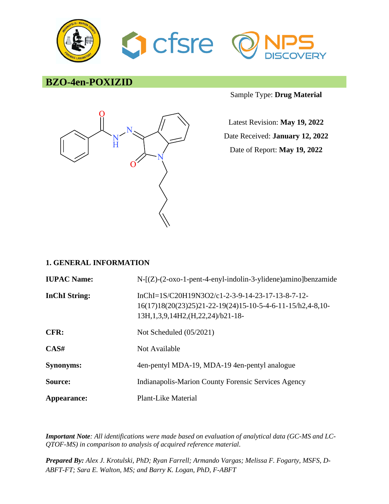

# **BZO-4en-POXIZID**



Sample Type: **Drug Material**

Latest Revision: **May 19, 2022** Date Received: **January 12, 2022** Date of Report: **May 19, 2022**

### **1. GENERAL INFORMATION**

| <b>IUPAC Name:</b>   | $N-[Z)-(2-oxo-1-pent-4-eny1-indolin-3-ylidene)$ amino]benzamide                                                                                                  |
|----------------------|------------------------------------------------------------------------------------------------------------------------------------------------------------------|
| <b>InChI</b> String: | InChI=1S/C20H19N3O2/c1-2-3-9-14-23-17-13-8-7-12-<br>16(17)18(20(23)25)21-22-19(24)15-10-5-4-6-11-15/h2,4-8,10-<br>13H, 1, 3, 9, 14H 2, (H, 22, 24) / b 21 - 18 - |
| CFR:                 | Not Scheduled $(05/2021)$                                                                                                                                        |
| CAS#                 | Not Available                                                                                                                                                    |
| <b>Synonyms:</b>     | 4en-pentyl MDA-19, MDA-19 4en-pentyl analogue                                                                                                                    |
| Source:              | Indianapolis-Marion County Forensic Services Agency                                                                                                              |
| Appearance:          | <b>Plant-Like Material</b>                                                                                                                                       |

*Important Note: All identifications were made based on evaluation of analytical data (GC-MS and LC-QTOF-MS) in comparison to analysis of acquired reference material.*

*Prepared By: Alex J. Krotulski, PhD; Ryan Farrell; Armando Vargas; Melissa F. Fogarty, MSFS, D-ABFT-FT; Sara E. Walton, MS; and Barry K. Logan, PhD, F-ABFT*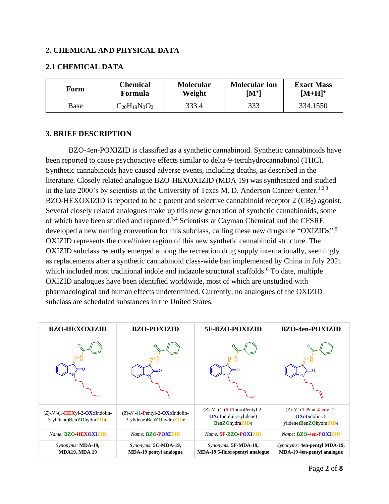### **2. CHEMICAL AND PHYSICAL DATA**

### **2.1 CHEMICAL DATA**

| Form | <b>Chemical</b>           | <b>Molecular</b> | <b>Molecular Ion</b> | <b>Exact Mass</b> |
|------|---------------------------|------------------|----------------------|-------------------|
|      | Formula                   | Weight           | $\mathbf{[M^{+}]}$   | $[M+H]^{+}$       |
| Base | $\rm{C_{20}H_{19}N_3O_2}$ | 333.4            | 333                  | 334.1550          |

### **3. BRIEF DESCRIPTION**

BZO-4en-POXIZID is classified as a synthetic cannabinoid. Synthetic cannabinoids have been reported to cause psychoactive effects similar to delta-9-tetrahydrocannabinol (THC). Synthetic cannabinoids have caused adverse events, including deaths, as described in the literature. Closely related analogue BZO-HEXOXIZID (MDA 19) was synthesized and studied in the late 2000's by scientists at the University of Texas M. D. Anderson Cancer Center.<sup>1,2,3</sup> BZO-HEXOXIZID is reported to be a potent and selective cannabinoid receptor  $2$  (CB<sub>2</sub>) agonist. Several closely related analogues make up this new generation of synthetic cannabinoids, some of which have been studied and reported.3,4 Scientists at Cayman Chemical and the CFSRE developed a new naming convention for this subclass, calling these new drugs the "OXIZIDs".<sup>5</sup> OXIZID represents the core/linker region of this new synthetic cannabinoid structure. The OXIZID subclass recently emerged among the recreation drug supply internationally, seemingly as replacements after a synthetic cannabinoid class-wide ban implemented by China in July 2021 which included most traditional indole and indazole structural scaffolds.<sup>6</sup> To date, multiple OXIZID analogues have been identified worldwide, most of which are unstudied with pharmacological and human effects undetermined. Currently, no analogues of the OXIZID subclass are scheduled substances in the United States.

| <b>BZO-HEXOXIZID</b>                                                         | <b>BZO-POXIZID</b>                                                    | 5F-BZO-POXIZID                                                                                                          | <b>BZO-4en-POXIZID</b>                                                          |
|------------------------------------------------------------------------------|-----------------------------------------------------------------------|-------------------------------------------------------------------------------------------------------------------------|---------------------------------------------------------------------------------|
|                                                                              |                                                                       |                                                                                                                         |                                                                                 |
| $(Z)$ - $N'$ - $(1$ -HEXyl-2-OXoIndolin-<br>3-ylidene) <b>BenZOhydraZIDe</b> | $(Z)$ - $N'$ - $(1$ -Pentyl-2-OXoIndolin-<br>3-ylidene)BenZOhydraZIDe | $(Z)$ - $N'$ - $(1$ - $(5$ - <b>F</b> luoro <b>P</b> entyl-2-<br><b>OX</b> oIndolin-3-ylidene)<br><b>BenZOhydraZIDe</b> | $(Z)-N'-(1-Pent-4-env1-2-$<br>$OXoIndolin-3-$<br>ylidene) <b>BenZOhydraZIDe</b> |
| Name: <b>BZO-HEXOXIZID</b>                                                   | Name: <b>BZO-POXIZID</b>                                              | Name: 5F-BZO-POXIZID                                                                                                    | Name: BZO-4en-POXIZID                                                           |
| Synonyms: MDA-19,<br><b>MDA19, MDA19</b>                                     | Synonyms: 5C-MDA-19,<br><b>MDA-19 pentyl analogue</b>                 | Synonyms: 5F-MDA-19,<br><b>MDA-19 5-fluoropentyl analogue</b>                                                           | Synonyms: 4en-pentyl MDA-19,<br>MDA-19 4en-pentyl analogue                      |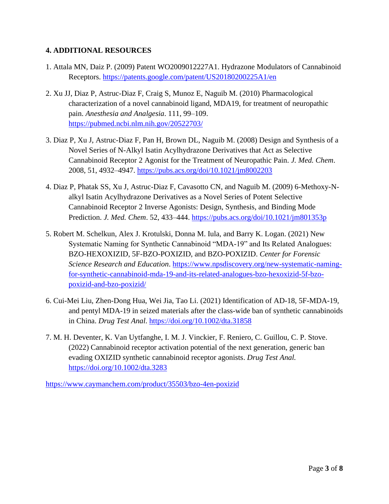# **4. ADDITIONAL RESOURCES**

- 1. Attala MN, Daiz P. (2009) Patent WO2009012227A1. Hydrazone Modulators of Cannabinoid Receptors.<https://patents.google.com/patent/US20180200225A1/en>
- 2. Xu JJ, Diaz P, Astruc-Diaz F, Craig S, Munoz E, Naguib M. (2010) Pharmacological characterization of a novel cannabinoid ligand, MDA19, for treatment of neuropathic pain. *Anesthesia and Analgesia*. 111, 99–109. <https://pubmed.ncbi.nlm.nih.gov/20522703/>
- 3. Diaz P, Xu J, Astruc-Diaz F, Pan H, Brown DL, Naguib M. (2008) Design and Synthesis of a Novel Series of N-Alkyl Isatin Acylhydrazone Derivatives that Act as Selective Cannabinoid Receptor 2 Agonist for the Treatment of Neuropathic Pain. *J. Med. Chem*. 2008, 51, 4932–4947.<https://pubs.acs.org/doi/10.1021/jm8002203>
- 4. Diaz P, Phatak SS, Xu J, Astruc-Diaz F, Cavasotto CN, and Naguib M. (2009) 6-Methoxy-Nalkyl Isatin Acylhydrazone Derivatives as a Novel Series of Potent Selective Cannabinoid Receptor 2 Inverse Agonists: Design, Synthesis, and Binding Mode Prediction. *J. Med. Chem*. 52, 433–444.<https://pubs.acs.org/doi/10.1021/jm801353p>
- 5. Robert M. Schelkun, Alex J. Krotulski, Donna M. Iula, and Barry K. Logan. (2021) New Systematic Naming for Synthetic Cannabinoid "MDA-19" and Its Related Analogues: BZO-HEXOXIZID, 5F-BZO-POXIZID, and BZO-POXIZID. *Center for Forensic Science Research and Education*. [https://www.npsdiscovery.org/new-systematic-naming](https://www.npsdiscovery.org/new-systematic-naming-for-synthetic-cannabinoid-mda-19-and-its-related-analogues-bzo-hexoxizid-5f-bzo-poxizid-and-bzo-poxizid/)[for-synthetic-cannabinoid-mda-19-and-its-related-analogues-bzo-hexoxizid-5f-bzo](https://www.npsdiscovery.org/new-systematic-naming-for-synthetic-cannabinoid-mda-19-and-its-related-analogues-bzo-hexoxizid-5f-bzo-poxizid-and-bzo-poxizid/)[poxizid-and-bzo-poxizid/](https://www.npsdiscovery.org/new-systematic-naming-for-synthetic-cannabinoid-mda-19-and-its-related-analogues-bzo-hexoxizid-5f-bzo-poxizid-and-bzo-poxizid/)
- 6. Cui-Mei Liu, Zhen-Dong Hua, Wei Jia, Tao Li. (2021) Identification of AD-18, 5F-MDA-19, and pentyl MDA-19 in seized materials after the class-wide ban of synthetic cannabinoids in China. *Drug Test Anal*.<https://doi.org/10.1002/dta.31858>
- 7. M. H. Deventer, K. Van Uytfanghe, I. M. J. Vinckier, F. Reniero, C. Guillou, C. P. Stove. (2022) Cannabinoid receptor activation potential of the next generation, generic ban evading OXIZID synthetic cannabinoid receptor agonists. *Drug Test Anal.*  <https://doi.org/10.1002/dta.3283>

<https://www.caymanchem.com/product/35503/bzo-4en-poxizid>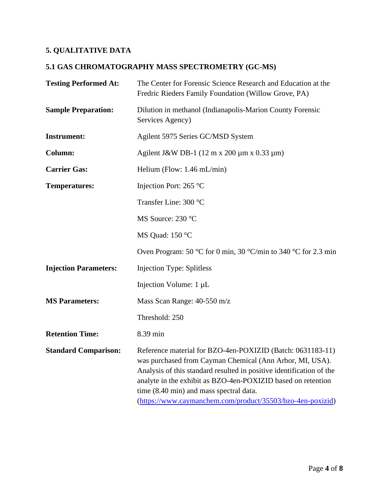# **5. QUALITATIVE DATA**

# **5.1 GAS CHROMATOGRAPHY MASS SPECTROMETRY (GC-MS)**

| <b>Testing Performed At:</b> | The Center for Forensic Science Research and Education at the<br>Fredric Rieders Family Foundation (Willow Grove, PA)                                                                                                                                                                                                                                                   |
|------------------------------|-------------------------------------------------------------------------------------------------------------------------------------------------------------------------------------------------------------------------------------------------------------------------------------------------------------------------------------------------------------------------|
| <b>Sample Preparation:</b>   | Dilution in methanol (Indianapolis-Marion County Forensic<br>Services Agency)                                                                                                                                                                                                                                                                                           |
| <b>Instrument:</b>           | Agilent 5975 Series GC/MSD System                                                                                                                                                                                                                                                                                                                                       |
| Column:                      | Agilent J&W DB-1 $(12 \text{ m x } 200 \text{ µm x } 0.33 \text{ µm})$                                                                                                                                                                                                                                                                                                  |
| <b>Carrier Gas:</b>          | Helium (Flow: $1.46$ mL/min)                                                                                                                                                                                                                                                                                                                                            |
| <b>Temperatures:</b>         | Injection Port: 265 °C                                                                                                                                                                                                                                                                                                                                                  |
|                              | Transfer Line: 300 °C                                                                                                                                                                                                                                                                                                                                                   |
|                              | MS Source: 230 °C                                                                                                                                                                                                                                                                                                                                                       |
|                              | MS Quad: 150 °C                                                                                                                                                                                                                                                                                                                                                         |
|                              | Oven Program: 50 °C for 0 min, 30 °C/min to 340 °C for 2.3 min                                                                                                                                                                                                                                                                                                          |
| <b>Injection Parameters:</b> | <b>Injection Type: Splitless</b>                                                                                                                                                                                                                                                                                                                                        |
|                              | Injection Volume: 1 µL                                                                                                                                                                                                                                                                                                                                                  |
| <b>MS Parameters:</b>        | Mass Scan Range: 40-550 m/z                                                                                                                                                                                                                                                                                                                                             |
|                              | Threshold: 250                                                                                                                                                                                                                                                                                                                                                          |
| <b>Retention Time:</b>       | 8.39 min                                                                                                                                                                                                                                                                                                                                                                |
| <b>Standard Comparison:</b>  | Reference material for BZO-4en-POXIZID (Batch: 0631183-11)<br>was purchased from Cayman Chemical (Ann Arbor, MI, USA).<br>Analysis of this standard resulted in positive identification of the<br>analyte in the exhibit as BZO-4en-POXIZID based on retention<br>time (8.40 min) and mass spectral data.<br>(https://www.caymanchem.com/product/35503/bzo-4en-poxizid) |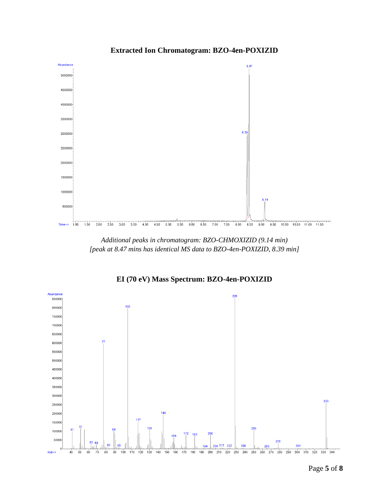

**Extracted Ion Chromatogram: BZO-4en-POXIZID**

*Additional peaks in chromatogram: BZO-CHMOXIZID (9.14 min) [peak at 8.47 mins has identical MS data to BZO-4en-POXIZID, 8.39 min]*

**EI (70 eV) Mass Spectrum: BZO-4en-POXIZID**

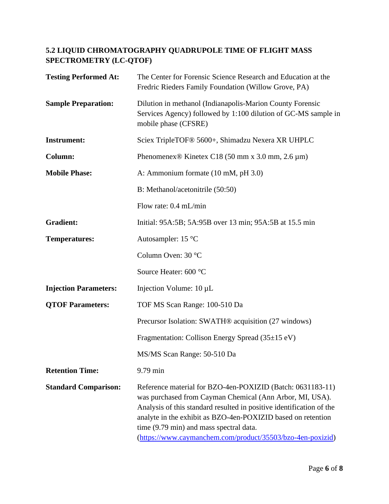# **5.2 LIQUID CHROMATOGRAPHY QUADRUPOLE TIME OF FLIGHT MASS SPECTROMETRY (LC-QTOF)**

| <b>Testing Performed At:</b> | The Center for Forensic Science Research and Education at the<br>Fredric Rieders Family Foundation (Willow Grove, PA)                                                                                                                                                                                                                                                   |
|------------------------------|-------------------------------------------------------------------------------------------------------------------------------------------------------------------------------------------------------------------------------------------------------------------------------------------------------------------------------------------------------------------------|
| <b>Sample Preparation:</b>   | Dilution in methanol (Indianapolis-Marion County Forensic<br>Services Agency) followed by 1:100 dilution of GC-MS sample in<br>mobile phase (CFSRE)                                                                                                                                                                                                                     |
| <b>Instrument:</b>           | Sciex TripleTOF <sup>®</sup> 5600+, Shimadzu Nexera XR UHPLC                                                                                                                                                                                                                                                                                                            |
| Column:                      | Phenomenex <sup>®</sup> Kinetex C18 (50 mm x 3.0 mm, 2.6 $\mu$ m)                                                                                                                                                                                                                                                                                                       |
| <b>Mobile Phase:</b>         | A: Ammonium formate (10 mM, pH 3.0)                                                                                                                                                                                                                                                                                                                                     |
|                              | B: Methanol/acetonitrile (50:50)                                                                                                                                                                                                                                                                                                                                        |
|                              | Flow rate: 0.4 mL/min                                                                                                                                                                                                                                                                                                                                                   |
| <b>Gradient:</b>             | Initial: 95A:5B; 5A:95B over 13 min; 95A:5B at 15.5 min                                                                                                                                                                                                                                                                                                                 |
| <b>Temperatures:</b>         | Autosampler: 15 °C                                                                                                                                                                                                                                                                                                                                                      |
|                              | Column Oven: 30 °C                                                                                                                                                                                                                                                                                                                                                      |
|                              | Source Heater: 600 °C                                                                                                                                                                                                                                                                                                                                                   |
| <b>Injection Parameters:</b> | Injection Volume: $10 \mu L$                                                                                                                                                                                                                                                                                                                                            |
| <b>QTOF Parameters:</b>      | TOF MS Scan Range: 100-510 Da                                                                                                                                                                                                                                                                                                                                           |
|                              | Precursor Isolation: SWATH <sup>®</sup> acquisition (27 windows)                                                                                                                                                                                                                                                                                                        |
|                              | Fragmentation: Collison Energy Spread (35±15 eV)                                                                                                                                                                                                                                                                                                                        |
|                              | MS/MS Scan Range: 50-510 Da                                                                                                                                                                                                                                                                                                                                             |
| <b>Retention Time:</b>       | 9.79 min                                                                                                                                                                                                                                                                                                                                                                |
| <b>Standard Comparison:</b>  | Reference material for BZO-4en-POXIZID (Batch: 0631183-11)<br>was purchased from Cayman Chemical (Ann Arbor, MI, USA).<br>Analysis of this standard resulted in positive identification of the<br>analyte in the exhibit as BZO-4en-POXIZID based on retention<br>time (9.79 min) and mass spectral data.<br>(https://www.caymanchem.com/product/35503/bzo-4en-poxizid) |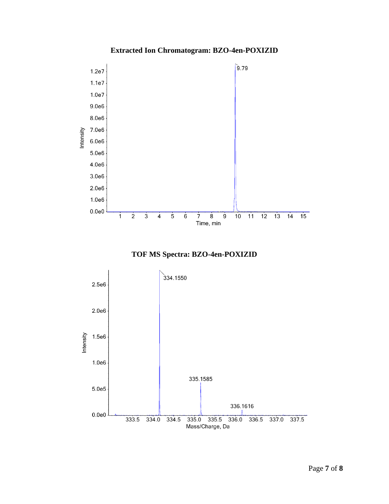

## **Extracted Ion Chromatogram: BZO-4en-POXIZID**